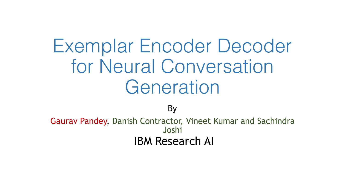# Exemplar Encoder Decoder for Neural Conversation **Generation**

By

Gaurav Pandey, Danish Contractor, Vineet Kumar and Sachindra Joshi IBM Research AI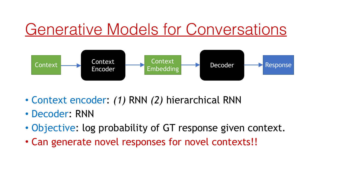# Generative Models for Conversations



- Context encoder: *(1)* RNN *(2)* hierarchical RNN
- Decoder: RNN
- Objective: log probability of GT response given context.
- Can generate novel responses for novel contexts!!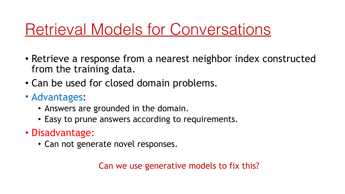# Retrieval Models for Conversations

- Retrieve a response from a nearest neighbor index constructed from the training data.
- Can be used for closed domain problems.
- Advantages:
	- Answers are grounded in the domain.
	- Easy to prune answers according to requirements.
- Disadvantage:
	- Can not generate novel responses.

Can we use generative models to fix this?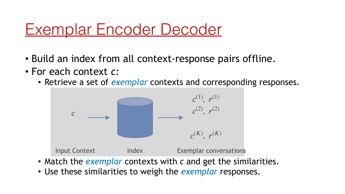#### Exemplar Encoder Decoder

- Build an index from all context-response pairs offline.
- For each context *c:* 
	- Retrieve a set of *exemplar* contexts and corresponding responses.



- Match the *exemplar* contexts with *c* and get the similarities.
- Use these similarities to weigh the *exemplar* responses.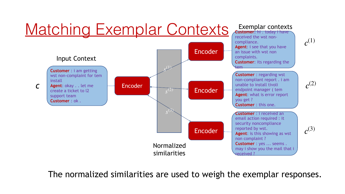

The normalized similarities are used to weigh the exemplar responses.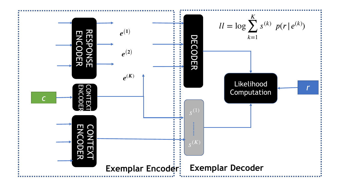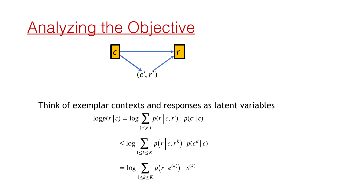# Analyzing the Objective *c r*  $(c', r')$

 $log<sub>a</sub>$ Think of exemplar contexts and responses as latent variables

$$
p(r|c) = \log \sum_{(c',r')} p(r|c,r') \ p(c'|c)
$$
  

$$
\leq \log \sum_{1 \leq k \leq K} p(r|c,r^k) \ p(c^k|c)
$$
  

$$
= \log \sum_{1 \leq k \leq K} p(r|e^{(k)}) \ s^{(k)}
$$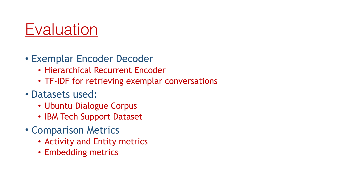#### **Evaluation**

- Exemplar Encoder Decoder
	- Hierarchical Recurrent Encoder
	- TF-IDF for retrieving exemplar conversations
- Datasets used:
	- Ubuntu Dialogue Corpus
	- IBM Tech Support Dataset
- Comparison Metrics
	- Activity and Entity metrics
	- Embedding metrics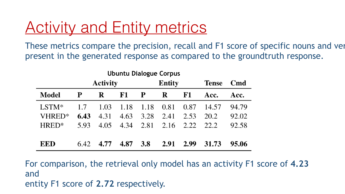#### **Activity and Entity metrics**

These metrics compare the precision, recall and F1 score of specific nouns and ver present in the generated response as compared to the groundtruth response.

| <b>Ubuntu Dialogue Corpus</b> |                 |      |      |               |      |           |              |            |
|-------------------------------|-----------------|------|------|---------------|------|-----------|--------------|------------|
|                               | <b>Activity</b> |      |      | <b>Entity</b> |      |           | <b>Tense</b> | <b>Cmd</b> |
| Model                         | P               | R    | F1   | P             | R    | <b>F1</b> | Acc.         | Acc.       |
| $LSTM*$                       | 1.7             | 1.03 | 1.18 | 1.18          | 0.81 | 0.87      | 14.57        | 94.79      |
| VHRED*                        | 6.43            | 4.31 | 4.63 | 3.28          | 2.41 | 2.53      | 20.2         | 92.02      |
| $HRED*$                       | 5.93            | 4.05 | 4.34 | 2.81          | 2.16 | 2.22      | 22.2         | 92.58      |
|                               |                 |      |      |               |      |           |              |            |
| EED                           | 6.42            | 4.77 | 4.87 | <b>3.8</b>    | 2.91 | 2.99      | 31.73        | 95.06      |

For comparison, the retrieval only model has an activity F1 score of **4.23** and entity F1 score of **2.72** respectively.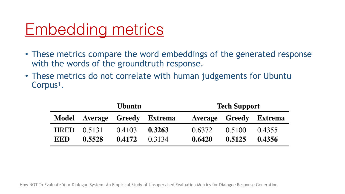## Embedding metrics

- These metrics compare the word embeddings of the generated response with the words of the groundtruth response.
- These metrics do not correlate with human judgements for Ubuntu Corpus<sup>1</sup>.

| <b>Ubuntu</b> |                              |        |        | <b>Tech Support</b> |        |                        |  |
|---------------|------------------------------|--------|--------|---------------------|--------|------------------------|--|
|               | Model Average Greedy Extrema |        |        |                     |        | Average Greedy Extrema |  |
| <b>HRED</b>   | 0.5131                       | 0.4103 | 0.3263 | 0.6372              | 0.5100 | 0.4355                 |  |
| EED           | 0.5528                       | 0.4172 | 0.3134 | 0.6420              | 0.5125 | 0.4356                 |  |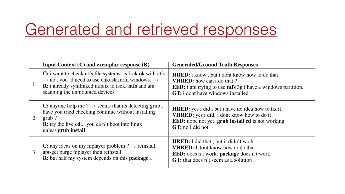#### Generated and retrieved responses

|   | Input Context $(C)$ and exemplar response $(R)$                                                                                                                                                                                               | <b>Generated/Ground Truth Responses</b>                                                                                                                                                                           |
|---|-----------------------------------------------------------------------------------------------------------------------------------------------------------------------------------------------------------------------------------------------|-------------------------------------------------------------------------------------------------------------------------------------------------------------------------------------------------------------------|
|   | C: i want to check ntfs file systems. is fsck ok with ntfs.<br>$\rightarrow$ no, you 'd need to use chkdsk from windows. $\rightarrow$<br><b>R:</b> i already symlinked ntfsfix to fsck. <b>ntfs</b> and am<br>scanning the unmounted devices | <b>HRED:</b> i know, but i dont know how to do that<br><b>VHRED:</b> how can i do that?<br><b>EED</b> : i am trying to use <b>ntfs</b> 3g i have a windows partition.<br><b>GT:</b> i dont have windows installed |
| 2 | C: anyone help me ? $\rightarrow$ seems that its detecting grub,<br>have you tried checking continue without installing<br>$grub$ ?<br><b>R:</b> try the live cd you can't boot into linux<br>unless grub install                             | <b>HRED:</b> yes i did, but i have no idea how to fix it<br><b>VHRED:</b> yes i did. i dont know how to do it<br><b>EED:</b> nope not yet. grub install cd is not working<br>GT: no i did not.                    |
| 3 | C: any ideas on my mplayer problem $? \rightarrow$ reinstall.<br>apt-get purge mplayer then reinstall<br><b>R:</b> but half my system depends on this <b>package</b>                                                                          | <b>HRED:</b> I did that, but it didn't work<br><b>VHRED:</b> I dont know how to do that<br><b>EED</b> : does n t work. <b>package</b> does n t work<br><b>GT:</b> that does n't seem as a solution                |